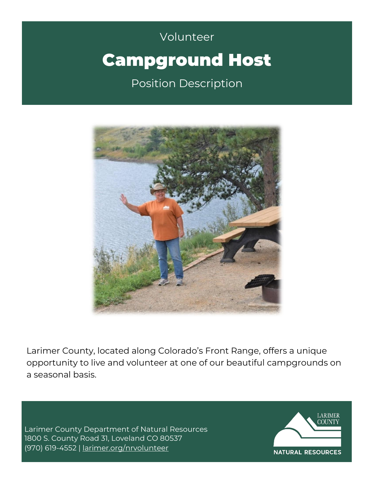# Volunteer Volunteer Campground Host Position Description



Larimer County, located along Colorado's Front Range, offers a unique opportunity to live and volunteer at one of our beautiful campgrounds on a seasonal basis.

Larimer County Department of Natural Resources 1800 S. County Road 31, Loveland CO 80537 (970) 619-4552 | [larimer.org/nrvolunteer](http://www.larimer.org/nrvolunteer)

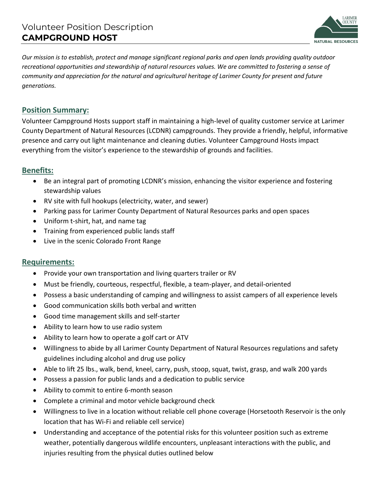

*Our mission is to establish, protect and manage significant regional parks and open lands providing quality outdoor recreational opportunities and stewardship of natural resources values. We are committed to fostering a sense of community and appreciation for the natural and agricultural heritage of Larimer County for present and future generations.* 

# **Position Summary:**

Volunteer Campground Hosts support staff in maintaining a high-level of quality customer service at Larimer County Department of Natural Resources (LCDNR) campgrounds. They provide a friendly, helpful, informative presence and carry out light maintenance and cleaning duties. Volunteer Campground Hosts impact everything from the visitor's experience to the stewardship of grounds and facilities.

## **Benefits:**

- Be an integral part of promoting LCDNR's mission, enhancing the visitor experience and fostering stewardship values
- RV site with full hookups (electricity, water, and sewer)
- Parking pass for Larimer County Department of Natural Resources parks and open spaces
- Uniform t-shirt, hat, and name tag
- Training from experienced public lands staff
- Live in the scenic Colorado Front Range

## **Requirements:**

- Provide your own transportation and living quarters trailer or RV
- Must be friendly, courteous, respectful, flexible, a team-player, and detail-oriented
- Possess a basic understanding of camping and willingness to assist campers of all experience levels
- Good communication skills both verbal and written
- Good time management skills and self-starter
- Ability to learn how to use radio system
- Ability to learn how to operate a golf cart or ATV
- Willingness to abide by all Larimer County Department of Natural Resources regulations and safety guidelines including alcohol and drug use policy
- Able to lift 25 lbs., walk, bend, kneel, carry, push, stoop, squat, twist, grasp, and walk 200 yards
- Possess a passion for public lands and a dedication to public service
- Ability to commit to entire 6-month season
- Complete a criminal and motor vehicle background check
- Willingness to live in a location without reliable cell phone coverage (Horsetooth Reservoir is the only location that has Wi-Fi and reliable cell service)
- Understanding and acceptance of the potential risks for this volunteer position such as extreme weather, potentially dangerous wildlife encounters, unpleasant interactions with the public, and injuries resulting from the physical duties outlined below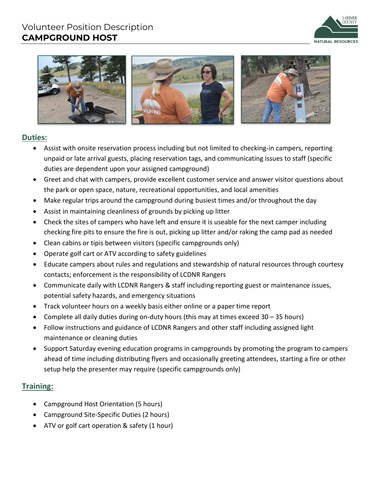# Volunteer Position Description **CAMPGROUND HOST**





## **Duties:**

- Assist with onsite reservation process including but not limited to checking-in campers, reporting unpaid or late arrival guests, placing reservation tags, and communicating issues to staff (specific duties are dependent upon your assigned campground)
- Greet and chat with campers, provide excellent customer service and answer visitor questions about the park or open space, nature, recreational opportunities, and local amenities
- Make regular trips around the campground during busiest times and/or throughout the day
- Assist in maintaining cleanliness of grounds by picking up litter
- Check the sites of campers who have left and ensure it is useable for the next camper including checking fire pits to ensure the fire is out, picking up litter and/or raking the camp pad as needed
- Clean cabins or tipis between visitors (specific campgrounds only)
- Operate golf cart or ATV according to safety guidelines
- Educate campers about rules and regulations and stewardship of natural resources through courtesy contacts; enforcement is the responsibility of LCDNR Rangers
- Communicate daily with LCDNR Rangers & staff including reporting guest or maintenance issues, potential safety hazards, and emergency situations
- Track volunteer hours on a weekly basis either online or a paper time report
- Complete all daily duties during on-duty hours (this may at times exceed 30 35 hours)
- Follow instructions and guidance of LCDNR Rangers and other staff including assigned light maintenance or cleaning duties
- Support Saturday evening education programs in campgrounds by promoting the program to campers ahead of time including distributing flyers and occasionally greeting attendees, starting a fire or other setup help the presenter may require (specific campgrounds only)

# **Training:**

- Campground Host Orientation (5 hours)
- Campground Site-Specific Duties (2 hours)
- ATV or golf cart operation & safety (1 hour)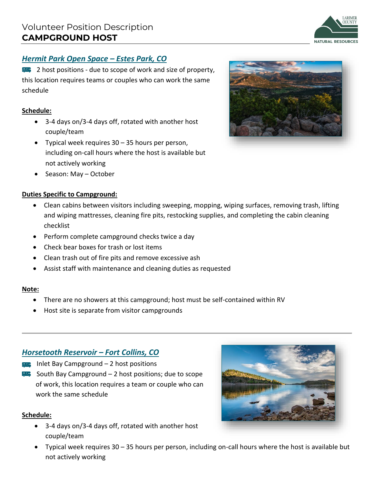# *Hermit Park Open Space – Estes Park, CO*

**2** host positions - due to scope of work and size of property, this location requires teams or couples who can work the same schedule

#### **Schedule:**

- 3-4 days on/3-4 days off, rotated with another host couple/team
- Typical week requires 30 35 hours per person, including on-call hours where the host is available but not actively working
- Season: May October

#### **Duties Specific to Campground:**

- Clean cabins between visitors including sweeping, mopping, wiping surfaces, removing trash, lifting and wiping mattresses, cleaning fire pits, restocking supplies, and completing the cabin cleaning checklist
- Perform complete campground checks twice a day
- Check bear boxes for trash or lost items
- Clean trash out of fire pits and remove excessive ash
- Assist staff with maintenance and cleaning duties as requested

#### **Note:**

- There are no showers at this campground; host must be self-contained within RV
- Host site is separate from visitor campgrounds

# *Horsetooth Reservoir – Fort Collins, CO*

- $\blacksquare$  Inlet Bay Campground 2 host positions
- $\blacktriangleright$  South Bay Campground 2 host positions; due to scope of work, this location requires a team or couple who can work the same schedule

#### **Schedule:**

- 3-4 days on/3-4 days off, rotated with another host couple/team
- Typical week requires 30 35 hours per person, including on-call hours where the host is available but not actively working





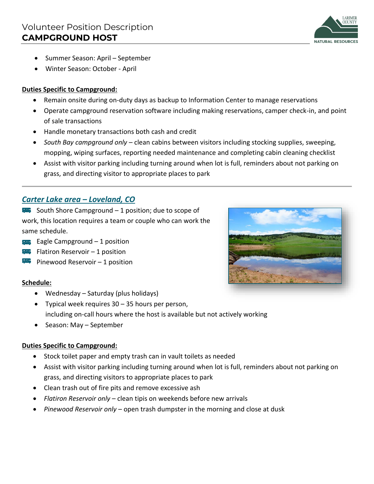

- Summer Season: April September
- Winter Season: October April

#### **Duties Specific to Campground:**

- Remain onsite during on-duty days as backup to Information Center to manage reservations
- Operate campground reservation software including making reservations, camper check-in, and point of sale transactions
- Handle monetary transactions both cash and credit
- *South Bay campground only* clean cabins between visitors including stocking supplies, sweeping, mopping, wiping surfaces, reporting needed maintenance and completing cabin cleaning checklist
- Assist with visitor parking including turning around when lot is full, reminders about not parking on grass, and directing visitor to appropriate places to park

## *Carter Lake area – Loveland, CO*

 $\blacktriangleright$  South Shore Campground – 1 position; due to scope of work, this location requires a team or couple who can work the same schedule.

- $\equiv$  Eagle Campground  $-1$  position
- $\blacktriangleright$  Flatiron Reservoir 1 position
- Pinewood Reservoir 1 position

#### **Schedule:**

- Wednesday Saturday (plus holidays)
- Typical week requires 30 35 hours per person, including on-call hours where the host is available but not actively working
- Season: May September

#### **Duties Specific to Campground:**

- Stock toilet paper and empty trash can in vault toilets as needed
- Assist with visitor parking including turning around when lot is full, reminders about not parking on grass, and directing visitors to appropriate places to park
- Clean trash out of fire pits and remove excessive ash
- *Flatiron Reservoir only* clean tipis on weekends before new arrivals
- *Pinewood Reservoir only* open trash dumpster in the morning and close at dusk